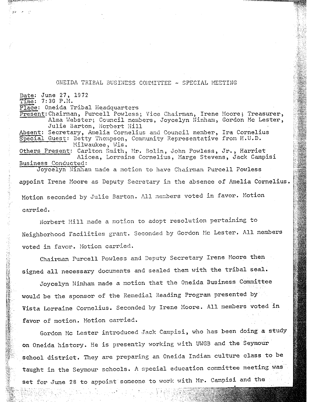## ONEIDA TRIBAL BUSINESS COMMITTEE - SPECIAL MEETING

 $\mathcal{A}^{\text{in}}$  ,  $\mathcal{A}^{\text{in}}$ 

Date: June 27, 1972  $Time: 7:30$  P.M. Place: Oneida Tribal Headquarters Present: Chairman, Purcell Powless; Vice Chairman, Irene Moore; Treasurer, Alma Webster; Council members, Joycelyn Ninham, Gordon Mc Lester, Julie Barton, Norbert Hill Absent: Secretary, Amelia Cornelius and Council member, Ira Cornelius  $Special$  Guest: Betty Thompson, Community Representative from H.U.D. Milwaukee, Wis. Others Present: Carlton Smith, Mr. Bolin, John Powless, Jr., Harriet Alicea, Lorraine Cornelius, Marge Stevens, Jack Campisi Milwaukee, Wis.<br>
Others Present: Carlton Smith, Mr. Bolin, John Powless, J.<br>
Alicea, Lorraine Cornelius, Marge Stevens,<br>
Business Conducted: Business Conducted: Joycelyn Ninham made a motion to have Chairman Purcell Powless appoint Irene Moore as Deputy Secretary in the absence of Amelia Cornelius.

Motion seconded by Julie Barton. All members voted in favor. Motion carried.

Norbert Hill made a motion to adopt resolution pertaining to Neighborhood Facilities grant. Seconded by Gordon He Lester. All members voted in favor. Motion carried.

Chairman Purcell Powless and Deputy Secretary Irene Moore then signed all necessary documents and sealed them with the tribal seal.

Joycelyn Hinham made a motion that the Oneida Business Committee would be the sponsor of the Remedial Reading Program presented by Vista Lorraine Cornelius. Seconded by Irene Moore. All members voted in favor of motion. Hotion carried.

Gordon Mc Lester introduced Jack Campisi, who has been doing a study on Oneida history. He is presently working with UWGB and the Seymour school district. They are preparing an Oneida Indian culture class to be taught in the Seymour schools. A special education committee meeting was set for June 28 to appoint someone to work with Mr. Campisi and the